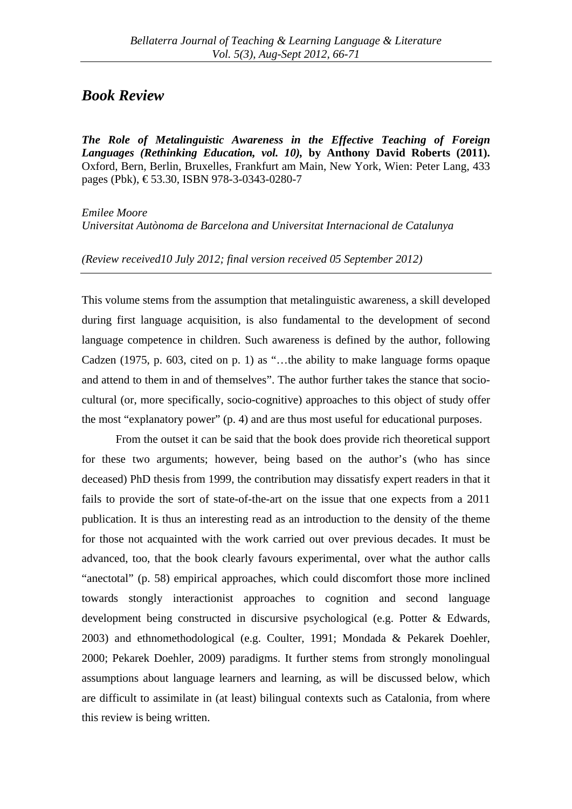## *Book Review*

*The Role of Metalinguistic Awareness in the Effective Teaching of Foreign Languages (Rethinking Education, vol. 10),* **by Anthony David Roberts (2011).**  Oxford, Bern, Berlin, Bruxelles, Frankfurt am Main, New York, Wien: Peter Lang, 433 pages (Pbk),  $\text{\textsterling}53.30$ , ISBN 978-3-0343-0280-7

*Emilee Moore Universitat Autònoma de Barcelona and Universitat Internacional de Catalunya* 

*(Review received10 July 2012; final version received 05 September 2012)*

This volume stems from the assumption that metalinguistic awareness, a skill developed during first language acquisition, is also fundamental to the development of second language competence in children. Such awareness is defined by the author, following Cadzen (1975, p. 603, cited on p. 1) as "…the ability to make language forms opaque and attend to them in and of themselves". The author further takes the stance that sociocultural (or, more specifically, socio-cognitive) approaches to this object of study offer the most "explanatory power" (p. 4) and are thus most useful for educational purposes.

From the outset it can be said that the book does provide rich theoretical support for these two arguments; however, being based on the author's (who has since deceased) PhD thesis from 1999, the contribution may dissatisfy expert readers in that it fails to provide the sort of state-of-the-art on the issue that one expects from a 2011 publication. It is thus an interesting read as an introduction to the density of the theme for those not acquainted with the work carried out over previous decades. It must be advanced, too, that the book clearly favours experimental, over what the author calls "anectotal" (p. 58) empirical approaches, which could discomfort those more inclined towards stongly interactionist approaches to cognition and second language development being constructed in discursive psychological (e.g. Potter & Edwards, 2003) and ethnomethodological (e.g. Coulter, 1991; Mondada & Pekarek Doehler, 2000; Pekarek Doehler, 2009) paradigms. It further stems from strongly monolingual assumptions about language learners and learning, as will be discussed below, which are difficult to assimilate in (at least) bilingual contexts such as Catalonia, from where this review is being written.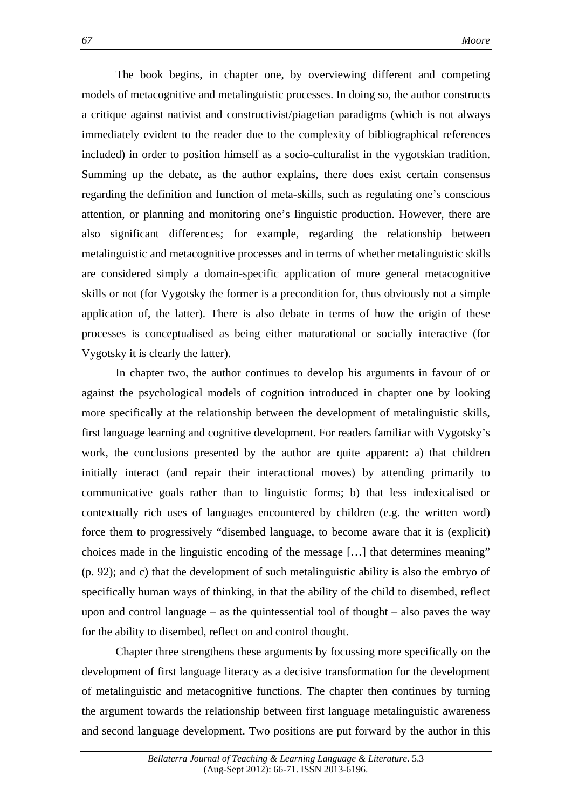The book begins, in chapter one, by overviewing different and competing models of metacognitive and metalinguistic processes. In doing so, the author constructs a critique against nativist and constructivist/piagetian paradigms (which is not always immediately evident to the reader due to the complexity of bibliographical references included) in order to position himself as a socio-culturalist in the vygotskian tradition. Summing up the debate, as the author explains, there does exist certain consensus regarding the definition and function of meta-skills, such as regulating one's conscious attention, or planning and monitoring one's linguistic production. However, there are also significant differences; for example, regarding the relationship between metalinguistic and metacognitive processes and in terms of whether metalinguistic skills are considered simply a domain-specific application of more general metacognitive skills or not (for Vygotsky the former is a precondition for, thus obviously not a simple application of, the latter). There is also debate in terms of how the origin of these processes is conceptualised as being either maturational or socially interactive (for Vygotsky it is clearly the latter).

In chapter two, the author continues to develop his arguments in favour of or against the psychological models of cognition introduced in chapter one by looking more specifically at the relationship between the development of metalinguistic skills, first language learning and cognitive development. For readers familiar with Vygotsky's work, the conclusions presented by the author are quite apparent: a) that children initially interact (and repair their interactional moves) by attending primarily to communicative goals rather than to linguistic forms; b) that less indexicalised or contextually rich uses of languages encountered by children (e.g. the written word) force them to progressively "disembed language, to become aware that it is (explicit) choices made in the linguistic encoding of the message […] that determines meaning" (p. 92); and c) that the development of such metalinguistic ability is also the embryo of specifically human ways of thinking, in that the ability of the child to disembed, reflect upon and control language – as the quintessential tool of thought – also paves the way for the ability to disembed, reflect on and control thought.

Chapter three strengthens these arguments by focussing more specifically on the development of first language literacy as a decisive transformation for the development of metalinguistic and metacognitive functions. The chapter then continues by turning the argument towards the relationship between first language metalinguistic awareness and second language development. Two positions are put forward by the author in this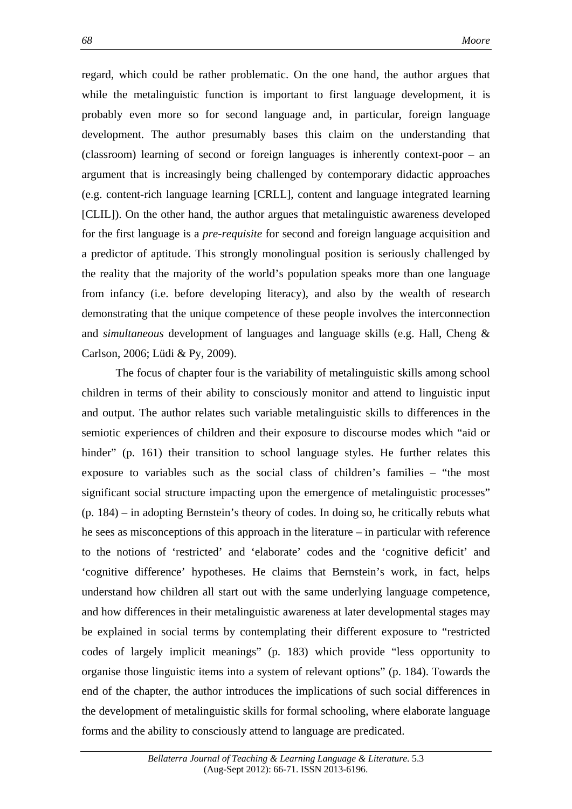regard, which could be rather problematic. On the one hand, the author argues that while the metalinguistic function is important to first language development, it is probably even more so for second language and, in particular, foreign language development. The author presumably bases this claim on the understanding that (classroom) learning of second or foreign languages is inherently context-poor – an argument that is increasingly being challenged by contemporary didactic approaches (e.g. content-rich language learning [CRLL], content and language integrated learning [CLIL]). On the other hand, the author argues that metalinguistic awareness developed for the first language is a *pre-requisite* for second and foreign language acquisition and a predictor of aptitude. This strongly monolingual position is seriously challenged by the reality that the majority of the world's population speaks more than one language from infancy (i.e. before developing literacy), and also by the wealth of research demonstrating that the unique competence of these people involves the interconnection and *simultaneous* development of languages and language skills (e.g. Hall, Cheng & Carlson, 2006; Lüdi & Py, 2009).

The focus of chapter four is the variability of metalinguistic skills among school children in terms of their ability to consciously monitor and attend to linguistic input and output. The author relates such variable metalinguistic skills to differences in the semiotic experiences of children and their exposure to discourse modes which "aid or hinder" (p. 161) their transition to school language styles. He further relates this exposure to variables such as the social class of children's families – "the most significant social structure impacting upon the emergence of metalinguistic processes" (p. 184) – in adopting Bernstein's theory of codes. In doing so, he critically rebuts what he sees as misconceptions of this approach in the literature – in particular with reference to the notions of 'restricted' and 'elaborate' codes and the 'cognitive deficit' and 'cognitive difference' hypotheses. He claims that Bernstein's work, in fact, helps understand how children all start out with the same underlying language competence, and how differences in their metalinguistic awareness at later developmental stages may be explained in social terms by contemplating their different exposure to "restricted codes of largely implicit meanings" (p. 183) which provide "less opportunity to organise those linguistic items into a system of relevant options" (p. 184). Towards the end of the chapter, the author introduces the implications of such social differences in the development of metalinguistic skills for formal schooling, where elaborate language forms and the ability to consciously attend to language are predicated.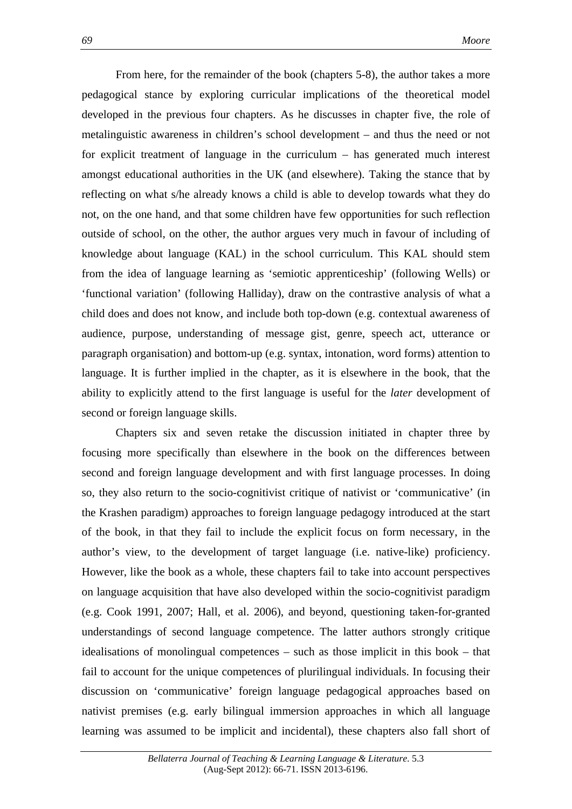From here, for the remainder of the book (chapters 5-8), the author takes a more pedagogical stance by exploring curricular implications of the theoretical model developed in the previous four chapters. As he discusses in chapter five, the role of metalinguistic awareness in children's school development – and thus the need or not for explicit treatment of language in the curriculum – has generated much interest amongst educational authorities in the UK (and elsewhere). Taking the stance that by reflecting on what s/he already knows a child is able to develop towards what they do not, on the one hand, and that some children have few opportunities for such reflection outside of school, on the other, the author argues very much in favour of including of knowledge about language (KAL) in the school curriculum. This KAL should stem from the idea of language learning as 'semiotic apprenticeship' (following Wells) or 'functional variation' (following Halliday), draw on the contrastive analysis of what a child does and does not know, and include both top-down (e.g. contextual awareness of audience, purpose, understanding of message gist, genre, speech act, utterance or paragraph organisation) and bottom-up (e.g. syntax, intonation, word forms) attention to language. It is further implied in the chapter, as it is elsewhere in the book, that the ability to explicitly attend to the first language is useful for the *later* development of second or foreign language skills.

Chapters six and seven retake the discussion initiated in chapter three by focusing more specifically than elsewhere in the book on the differences between second and foreign language development and with first language processes. In doing so, they also return to the socio-cognitivist critique of nativist or 'communicative' (in the Krashen paradigm) approaches to foreign language pedagogy introduced at the start of the book, in that they fail to include the explicit focus on form necessary, in the author's view, to the development of target language (i.e. native-like) proficiency. However, like the book as a whole, these chapters fail to take into account perspectives on language acquisition that have also developed within the socio-cognitivist paradigm (e.g. Cook 1991, 2007; Hall, et al. 2006), and beyond, questioning taken-for-granted understandings of second language competence. The latter authors strongly critique idealisations of monolingual competences – such as those implicit in this book – that fail to account for the unique competences of plurilingual individuals. In focusing their discussion on 'communicative' foreign language pedagogical approaches based on nativist premises (e.g. early bilingual immersion approaches in which all language learning was assumed to be implicit and incidental), these chapters also fall short of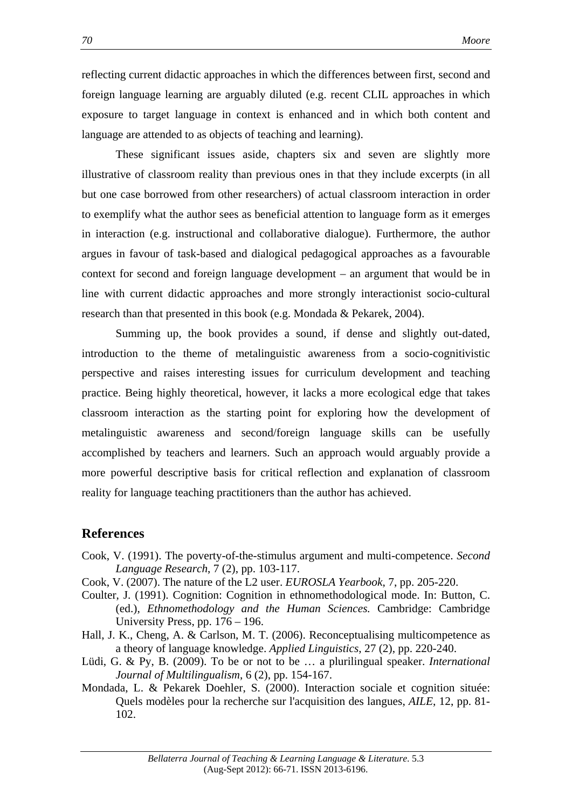reflecting current didactic approaches in which the differences between first, second and foreign language learning are arguably diluted (e.g. recent CLIL approaches in which exposure to target language in context is enhanced and in which both content and language are attended to as objects of teaching and learning).

These significant issues aside, chapters six and seven are slightly more illustrative of classroom reality than previous ones in that they include excerpts (in all but one case borrowed from other researchers) of actual classroom interaction in order to exemplify what the author sees as beneficial attention to language form as it emerges in interaction (e.g. instructional and collaborative dialogue). Furthermore, the author argues in favour of task-based and dialogical pedagogical approaches as a favourable context for second and foreign language development – an argument that would be in line with current didactic approaches and more strongly interactionist socio-cultural research than that presented in this book (e.g. Mondada & Pekarek, 2004).

Summing up, the book provides a sound, if dense and slightly out-dated, introduction to the theme of metalinguistic awareness from a socio-cognitivistic perspective and raises interesting issues for curriculum development and teaching practice. Being highly theoretical, however, it lacks a more ecological edge that takes classroom interaction as the starting point for exploring how the development of metalinguistic awareness and second/foreign language skills can be usefully accomplished by teachers and learners. Such an approach would arguably provide a more powerful descriptive basis for critical reflection and explanation of classroom reality for language teaching practitioners than the author has achieved.

## **References**

- Cook, V. (1991). The poverty-of-the-stimulus argument and multi-competence. *Second Language Research*, 7 (2), pp. 103-117.
- Cook, V. (2007). The nature of the L2 user. *EUROSLA Yearbook*, 7, pp. 205-220.
- Coulter, J. (1991). Cognition: Cognition in ethnomethodological mode. In: Button, C. (ed.), *Ethnomethodology and the Human Sciences.* Cambridge: Cambridge University Press, pp. 176 – 196.
- Hall, J. K., Cheng, A. & Carlson, M. T. (2006). Reconceptualising multicompetence as a theory of language knowledge. *Applied Linguistics*, 27 (2), pp. 220-240.
- Lüdi, G. & Py, B. (2009). To be or not to be … a plurilingual speaker. *International Journal of Multilingualism*, 6 (2), pp. 154-167.
- Mondada, L. & Pekarek Doehler, S. (2000). Interaction sociale et cognition située: Quels modèles pour la recherche sur l'acquisition des langues, *AILE*, 12, pp. 81- 102.